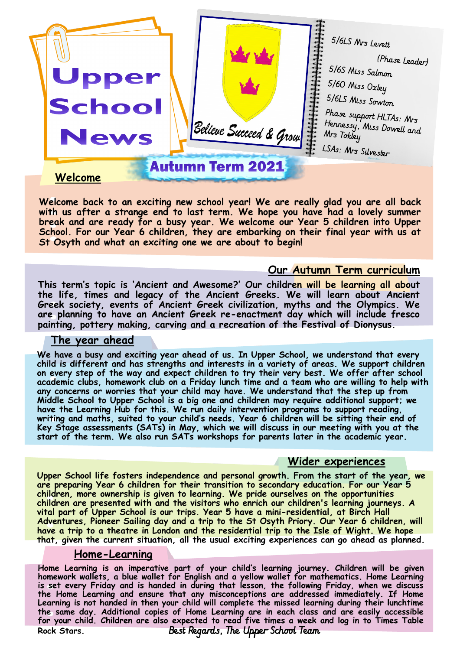

**Welcome back to an exciting new school year! We are really glad you are all back**  with us after a strange end to last term. We hope you have had a lovely summer **break and are ready for a busy year. We welcome our Year 5 children into Upper School. For our Year 6 children, they are embarking on their final year with us at St Osyth and what an exciting one we are about to begin!** 

### **Our Autumn Term curriculum**

**This term's topic is 'Ancient and Awesome?' Our children will be learning all about the life, times and legacy of the Ancient Greeks. We will learn about Ancient Greek society, events of Ancient Greek civilization, myths and the Olympics. We are planning to have an Ancient Greek re-enactment day which will include fresco painting, pottery making, carving and a recreation of the Festival of Dionysus.** 

#### **The year ahead**

**We have a busy and exciting year ahead of us. In Upper School, we understand that every child is different and has strengths and interests in a variety of areas. We support children on every step of the way and expect children to try their very best. We offer after school academic clubs, homework club on a Friday lunch time and a team who are willing to help with any concerns or worries that your child may have. We understand that the step up from Middle School to Upper School is a big one and children may require additional support; we have the Learning Hub for this. We run daily intervention programs to support reading, writing and maths, suited to your child's needs. Year 6 children will be sitting their end of Key Stage assessments (SATs) in May, which we will discuss in our meeting with you at the start of the term. We also run SATs workshops for parents later in the academic year.**

#### **Wider experiences**

**Upper School life fosters independence and personal growth. From the start of the year, we are preparing Year 6 children for their transition to secondary education. For our Year 5 children, more ownership is given to learning. We pride ourselves on the opportunities children are presented with and the visitors who enrich our children's learning journeys. A vital part of Upper School is our trips. Year 5 have a mini-residential, at Birch Hall Adventures, Pioneer Sailing day and a trip to the St Osyth Priory. Our Year 6 children, will have a trip to a theatre in London and the residential trip to the Isle of Wight. We hope that, given the current situation, all the usual exciting experiences can go ahead as planned.**

#### **Home-Learning**

**Home Learning is an imperative part of your child's learning journey. Children will be given homework wallets, a blue wallet for English and a yellow wallet for mathematics. Home Learning is set every Friday and is handed in during that lesson, the following Friday, when we discuss the Home Learning and ensure that any misconceptions are addressed immediately. If Home Learning is not handed in then your child will complete the missed learning during their lunchtime the same day. Additional copies of Home Learning are in each class and are easily accessible for your child. Children are also expected to read five times a week and log in to Times Table Rock Stars. Best Regards, The Upper School Team**